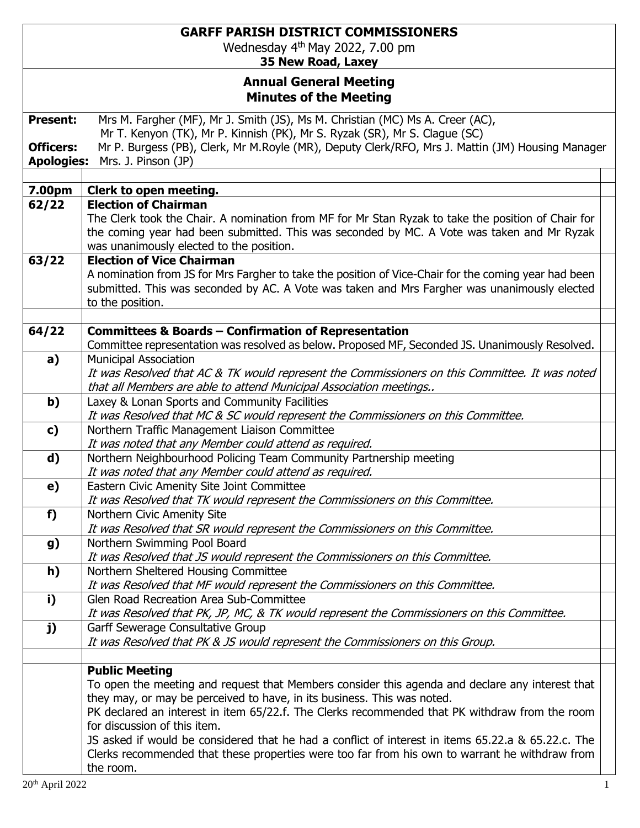## **GARFF PARISH DISTRICT COMMISSIONERS**

Wednesday 4 th May 2022, 7.00 pm

**35 New Road, Laxey**

## **Annual General Meeting Minutes of the Meeting**

|                   | ווווטנכט טו נווכ ויוככנוווין                                                                                                                                                                                                                 |  |
|-------------------|----------------------------------------------------------------------------------------------------------------------------------------------------------------------------------------------------------------------------------------------|--|
| <b>Present:</b>   | Mrs M. Fargher (MF), Mr J. Smith (JS), Ms M. Christian (MC) Ms A. Creer (AC),                                                                                                                                                                |  |
|                   | Mr T. Kenyon (TK), Mr P. Kinnish (PK), Mr S. Ryzak (SR), Mr S. Clague (SC)                                                                                                                                                                   |  |
| <b>Officers:</b>  | Mr P. Burgess (PB), Clerk, Mr M.Royle (MR), Deputy Clerk/RFO, Mrs J. Mattin (JM) Housing Manager                                                                                                                                             |  |
| <b>Apologies:</b> | Mrs. J. Pinson (JP)                                                                                                                                                                                                                          |  |
|                   |                                                                                                                                                                                                                                              |  |
| 7.00pm            | Clerk to open meeting.                                                                                                                                                                                                                       |  |
| 62/22             | <b>Election of Chairman</b>                                                                                                                                                                                                                  |  |
|                   | The Clerk took the Chair. A nomination from MF for Mr Stan Ryzak to take the position of Chair for<br>the coming year had been submitted. This was seconded by MC. A Vote was taken and Mr Ryzak<br>was unanimously elected to the position. |  |
| 63/22             | <b>Election of Vice Chairman</b>                                                                                                                                                                                                             |  |
|                   | A nomination from JS for Mrs Fargher to take the position of Vice-Chair for the coming year had been<br>submitted. This was seconded by AC. A Vote was taken and Mrs Fargher was unanimously elected<br>to the position.                     |  |
|                   |                                                                                                                                                                                                                                              |  |
| 64/22             | <b>Committees &amp; Boards - Confirmation of Representation</b>                                                                                                                                                                              |  |
|                   | Committee representation was resolved as below. Proposed MF, Seconded JS. Unanimously Resolved.                                                                                                                                              |  |
| a)                | <b>Municipal Association</b>                                                                                                                                                                                                                 |  |
|                   | It was Resolved that AC & TK would represent the Commissioners on this Committee. It was noted                                                                                                                                               |  |
|                   | that all Members are able to attend Municipal Association meetings<br>Laxey & Lonan Sports and Community Facilities                                                                                                                          |  |
| $\mathbf{b}$      | It was Resolved that MC & SC would represent the Commissioners on this Committee.                                                                                                                                                            |  |
| $\mathbf{c}$      | Northern Traffic Management Liaison Committee                                                                                                                                                                                                |  |
|                   | It was noted that any Member could attend as required.                                                                                                                                                                                       |  |
| d)                | Northern Neighbourhood Policing Team Community Partnership meeting                                                                                                                                                                           |  |
|                   | It was noted that any Member could attend as required.                                                                                                                                                                                       |  |
| e)                | Eastern Civic Amenity Site Joint Committee                                                                                                                                                                                                   |  |
|                   | It was Resolved that TK would represent the Commissioners on this Committee.                                                                                                                                                                 |  |
| f)                | Northern Civic Amenity Site                                                                                                                                                                                                                  |  |
|                   | It was Resolved that SR would represent the Commissioners on this Committee.                                                                                                                                                                 |  |
| g)                | Northern Swimming Pool Board                                                                                                                                                                                                                 |  |
|                   | It was Resolved that JS would represent the Commissioners on this Committee.                                                                                                                                                                 |  |
| h)                | Northern Sheltered Housing Committee                                                                                                                                                                                                         |  |
|                   | It was Resolved that MF would represent the Commissioners on this Committee.                                                                                                                                                                 |  |
| i)                | Glen Road Recreation Area Sub-Committee                                                                                                                                                                                                      |  |
|                   | It was Resolved that PK, JP, MC, & TK would represent the Commissioners on this Committee.                                                                                                                                                   |  |
| j)                | Garff Sewerage Consultative Group                                                                                                                                                                                                            |  |
|                   | It was Resolved that PK & JS would represent the Commissioners on this Group.                                                                                                                                                                |  |
|                   | <b>Public Meeting</b>                                                                                                                                                                                                                        |  |
|                   | To open the meeting and request that Members consider this agenda and declare any interest that                                                                                                                                              |  |
|                   | they may, or may be perceived to have, in its business. This was noted.                                                                                                                                                                      |  |
|                   | PK declared an interest in item 65/22.f. The Clerks recommended that PK withdraw from the room                                                                                                                                               |  |
|                   | for discussion of this item.                                                                                                                                                                                                                 |  |
|                   | JS asked if would be considered that he had a conflict of interest in items 65.22.a & 65.22.c. The                                                                                                                                           |  |
|                   | Clerks recommended that these properties were too far from his own to warrant he withdraw from                                                                                                                                               |  |
|                   | the room.                                                                                                                                                                                                                                    |  |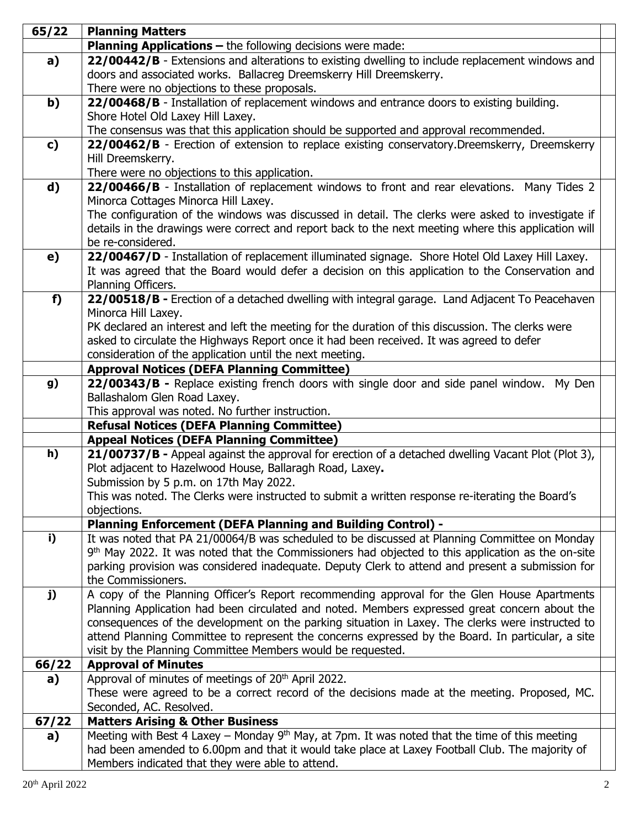| 65/22 | <b>Planning Matters</b>                                                                                                                             |  |
|-------|-----------------------------------------------------------------------------------------------------------------------------------------------------|--|
|       | <b>Planning Applications - the following decisions were made:</b>                                                                                   |  |
| a)    | 22/00442/B - Extensions and alterations to existing dwelling to include replacement windows and                                                     |  |
|       | doors and associated works. Ballacreg Dreemskerry Hill Dreemskerry.                                                                                 |  |
|       | There were no objections to these proposals.                                                                                                        |  |
| b)    | 22/00468/B - Installation of replacement windows and entrance doors to existing building.                                                           |  |
|       | Shore Hotel Old Laxey Hill Laxey.                                                                                                                   |  |
|       | The consensus was that this application should be supported and approval recommended.                                                               |  |
| c)    | 22/00462/B - Erection of extension to replace existing conservatory. Dreemskerry, Dreemskerry                                                       |  |
|       | Hill Dreemskerry.                                                                                                                                   |  |
|       | There were no objections to this application.                                                                                                       |  |
| d)    | 22/00466/B - Installation of replacement windows to front and rear elevations. Many Tides 2                                                         |  |
|       | Minorca Cottages Minorca Hill Laxey.                                                                                                                |  |
|       | The configuration of the windows was discussed in detail. The clerks were asked to investigate if                                                   |  |
|       | details in the drawings were correct and report back to the next meeting where this application will                                                |  |
|       | be re-considered.                                                                                                                                   |  |
| e)    | 22/00467/D - Installation of replacement illuminated signage. Shore Hotel Old Laxey Hill Laxey.                                                     |  |
|       | It was agreed that the Board would defer a decision on this application to the Conservation and                                                     |  |
|       | Planning Officers.                                                                                                                                  |  |
| f)    | 22/00518/B - Erection of a detached dwelling with integral garage. Land Adjacent To Peacehaven                                                      |  |
|       | Minorca Hill Laxey.                                                                                                                                 |  |
|       | PK declared an interest and left the meeting for the duration of this discussion. The clerks were                                                   |  |
|       | asked to circulate the Highways Report once it had been received. It was agreed to defer                                                            |  |
|       | consideration of the application until the next meeting.                                                                                            |  |
|       | <b>Approval Notices (DEFA Planning Committee)</b>                                                                                                   |  |
| g)    | 22/00343/B - Replace existing french doors with single door and side panel window. My Den                                                           |  |
|       | Ballashalom Glen Road Laxey.                                                                                                                        |  |
|       | This approval was noted. No further instruction.                                                                                                    |  |
|       | <b>Refusal Notices (DEFA Planning Committee)</b>                                                                                                    |  |
|       | <b>Appeal Notices (DEFA Planning Committee)</b>                                                                                                     |  |
| h)    | 21/00737/B - Appeal against the approval for erection of a detached dwelling Vacant Plot (Plot 3),                                                  |  |
|       | Plot adjacent to Hazelwood House, Ballaragh Road, Laxey.                                                                                            |  |
|       | Submission by 5 p.m. on 17th May 2022.                                                                                                              |  |
|       | This was noted. The Clerks were instructed to submit a written response re-iterating the Board's                                                    |  |
|       | objections.                                                                                                                                         |  |
|       | <b>Planning Enforcement (DEFA Planning and Building Control) -</b>                                                                                  |  |
| i)    | It was noted that PA 21/00064/B was scheduled to be discussed at Planning Committee on Monday                                                       |  |
|       | 9 <sup>th</sup> May 2022. It was noted that the Commissioners had objected to this application as the on-site                                       |  |
|       | parking provision was considered inadequate. Deputy Clerk to attend and present a submission for                                                    |  |
|       | the Commissioners.                                                                                                                                  |  |
| j)    | A copy of the Planning Officer's Report recommending approval for the Glen House Apartments                                                         |  |
|       | Planning Application had been circulated and noted. Members expressed great concern about the                                                       |  |
|       | consequences of the development on the parking situation in Laxey. The clerks were instructed to                                                    |  |
|       | attend Planning Committee to represent the concerns expressed by the Board. In particular, a site                                                   |  |
|       | visit by the Planning Committee Members would be requested.                                                                                         |  |
| 66/22 | <b>Approval of Minutes</b>                                                                                                                          |  |
| a)    | Approval of minutes of meetings of 20 <sup>th</sup> April 2022.                                                                                     |  |
|       | These were agreed to be a correct record of the decisions made at the meeting. Proposed, MC.                                                        |  |
|       | Seconded, AC. Resolved.                                                                                                                             |  |
| 67/22 | <b>Matters Arising &amp; Other Business</b>                                                                                                         |  |
| a)    | Meeting with Best 4 Laxey - Monday 9 <sup>th</sup> May, at 7pm. It was noted that the time of this meeting                                          |  |
|       | had been amended to 6.00pm and that it would take place at Laxey Football Club. The majority of<br>Members indicated that they were able to attend. |  |
|       |                                                                                                                                                     |  |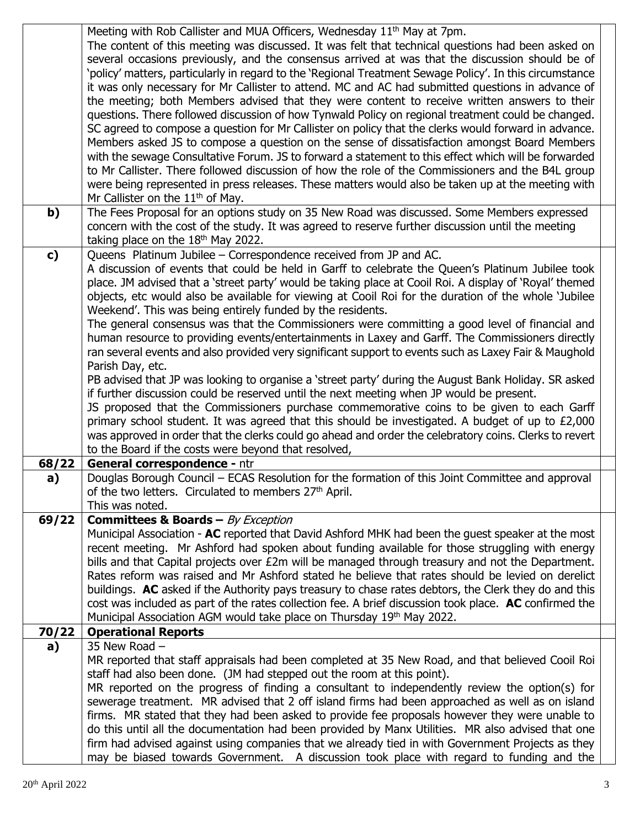|       | Meeting with Rob Callister and MUA Officers, Wednesday 11 <sup>th</sup> May at 7pm.                      |  |
|-------|----------------------------------------------------------------------------------------------------------|--|
|       | The content of this meeting was discussed. It was felt that technical questions had been asked on        |  |
|       | several occasions previously, and the consensus arrived at was that the discussion should be of          |  |
|       | policy' matters, particularly in regard to the `Regional Treatment Sewage Policy'. In this circumstance' |  |
|       | it was only necessary for Mr Callister to attend. MC and AC had submitted questions in advance of        |  |
|       |                                                                                                          |  |
|       | the meeting; both Members advised that they were content to receive written answers to their             |  |
|       | questions. There followed discussion of how Tynwald Policy on regional treatment could be changed.       |  |
|       | SC agreed to compose a question for Mr Callister on policy that the clerks would forward in advance.     |  |
|       | Members asked JS to compose a question on the sense of dissatisfaction amongst Board Members             |  |
|       | with the sewage Consultative Forum. JS to forward a statement to this effect which will be forwarded     |  |
|       | to Mr Callister. There followed discussion of how the role of the Commissioners and the B4L group        |  |
|       | were being represented in press releases. These matters would also be taken up at the meeting with       |  |
|       | Mr Callister on the $11th$ of May.                                                                       |  |
| b)    | The Fees Proposal for an options study on 35 New Road was discussed. Some Members expressed              |  |
|       | concern with the cost of the study. It was agreed to reserve further discussion until the meeting        |  |
|       | taking place on the $18th$ May 2022.                                                                     |  |
| c)    | Queens Platinum Jubilee - Correspondence received from JP and AC.                                        |  |
|       | A discussion of events that could be held in Garff to celebrate the Queen's Platinum Jubilee took        |  |
|       | place. JM advised that a 'street party' would be taking place at Cooil Roi. A display of 'Royal' themed  |  |
|       | objects, etc would also be available for viewing at Cooil Roi for the duration of the whole 'Jubilee     |  |
|       | Weekend'. This was being entirely funded by the residents.                                               |  |
|       | The general consensus was that the Commissioners were committing a good level of financial and           |  |
|       | human resource to providing events/entertainments in Laxey and Garff. The Commissioners directly         |  |
|       | ran several events and also provided very significant support to events such as Laxey Fair & Maughold    |  |
|       | Parish Day, etc.                                                                                         |  |
|       | PB advised that JP was looking to organise a 'street party' during the August Bank Holiday. SR asked     |  |
|       | if further discussion could be reserved until the next meeting when JP would be present.                 |  |
|       |                                                                                                          |  |
|       | JS proposed that the Commissioners purchase commemorative coins to be given to each Garff                |  |
|       | primary school student. It was agreed that this should be investigated. A budget of up to £2,000         |  |
|       | was approved in order that the clerks could go ahead and order the celebratory coins. Clerks to revert   |  |
|       | to the Board if the costs were beyond that resolved,                                                     |  |
| 68/22 | General correspondence - ntr                                                                             |  |
| a)    | Douglas Borough Council - ECAS Resolution for the formation of this Joint Committee and approval         |  |
|       | of the two letters. Circulated to members 27 <sup>th</sup> April.                                        |  |
|       | This was noted.                                                                                          |  |
| 69/22 | <b>Committees &amp; Boards - By Exception</b>                                                            |  |
|       | Municipal Association - AC reported that David Ashford MHK had been the quest speaker at the most        |  |
|       | recent meeting. Mr Ashford had spoken about funding available for those struggling with energy           |  |
|       | bills and that Capital projects over £2m will be managed through treasury and not the Department.        |  |
|       | Rates reform was raised and Mr Ashford stated he believe that rates should be levied on derelict         |  |
|       | buildings. AC asked if the Authority pays treasury to chase rates debtors, the Clerk they do and this    |  |
|       | cost was included as part of the rates collection fee. A brief discussion took place. AC confirmed the   |  |
|       | Municipal Association AGM would take place on Thursday 19th May 2022.                                    |  |
| 70/22 | <b>Operational Reports</b>                                                                               |  |
| a)    | 35 New Road -                                                                                            |  |
|       | MR reported that staff appraisals had been completed at 35 New Road, and that believed Cooil Roi         |  |
|       | staff had also been done. (JM had stepped out the room at this point).                                   |  |
|       | MR reported on the progress of finding a consultant to independently review the option(s) for            |  |
|       | sewerage treatment. MR advised that 2 off island firms had been approached as well as on island          |  |
|       | firms. MR stated that they had been asked to provide fee proposals however they were unable to           |  |
|       | do this until all the documentation had been provided by Manx Utilities. MR also advised that one        |  |
|       | firm had advised against using companies that we already tied in with Government Projects as they        |  |
|       | may be biased towards Government. A discussion took place with regard to funding and the                 |  |